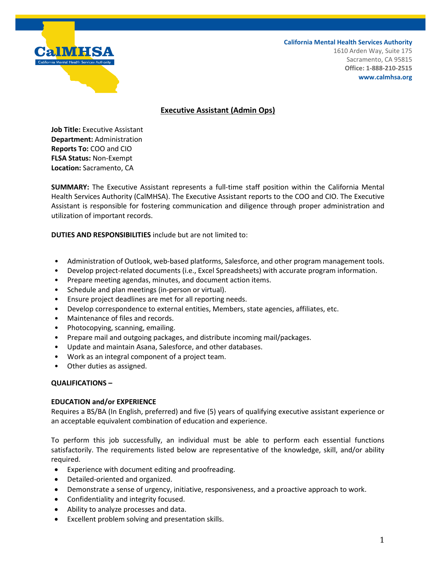

**California Mental Health Services Authority**

1610 Arden Way, Suite 175 Sacramento, CA 95815 **Office: 1-888-210-2515 www.calmhsa.org**

## **Executive Assistant (Admin Ops)**

**Job Title:** Executive Assistant **Department:** Administration **Reports To:** COO and CIO **FLSA Status:** Non-Exempt **Location:** Sacramento, CA

**SUMMARY:** The Executive Assistant represents a full-time staff position within the California Mental Health Services Authority (CalMHSA). The Executive Assistant reports to the COO and CIO. The Executive Assistant is responsible for fostering communication and diligence through proper administration and utilization of important records.

**DUTIES AND RESPONSIBILITIES** include but are not limited to:

- Administration of Outlook, web-based platforms, Salesforce, and other program management tools.
- Develop project-related documents (i.e., Excel Spreadsheets) with accurate program information.
- Prepare meeting agendas, minutes, and document action items.
- Schedule and plan meetings (in-person or virtual).
- Ensure project deadlines are met for all reporting needs.
- Develop correspondence to external entities, Members, state agencies, affiliates, etc.
- Maintenance of files and records.
- Photocopying, scanning, emailing.
- Prepare mail and outgoing packages, and distribute incoming mail/packages.
- Update and maintain Asana, Salesforce, and other databases.
- Work as an integral component of a project team.
- Other duties as assigned.

## **QUALIFICATIONS –**

## **EDUCATION and/or EXPERIENCE**

Requires a BS/BA (In English, preferred) and five (5) years of qualifying executive assistant experience or an acceptable equivalent combination of education and experience.

To perform this job successfully, an individual must be able to perform each essential functions satisfactorily. The requirements listed below are representative of the knowledge, skill, and/or ability required.

- Experience with document editing and proofreading.
- Detailed-oriented and organized.
- Demonstrate a sense of urgency, initiative, responsiveness, and a proactive approach to work.
- Confidentiality and integrity focused.
- Ability to analyze processes and data.
- Excellent problem solving and presentation skills.